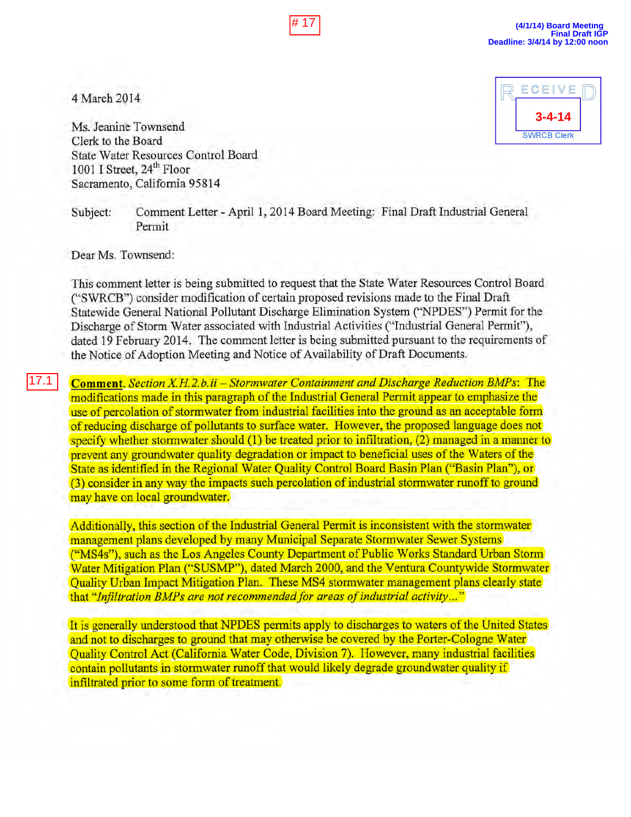4 March 2014

ECEIVE **3-4-14 SWRCB Clerk** 

Ms. Jeanine Townsend Clerk to the Board State Water Resources Control Board 1001 I Street, 24<sup>th</sup> Floor Sacramento, California 95814

Subject: Comment Letter - April 1, 2014 Board Meeting: Final Draft Industrial General Permit

Dear Ms. Townsend:

This comment letter is being submitted to request that the State Water Resources Control Board ("SWRCB") consider modification of certain proposed revisions made to the Final Draft Statewide General National Pollutant Discharge Elimination System ("NPDES") Permit for the Discharge of Storm Water associated with Industrial Activities ("Industrial General Permit"), dated 19 February 2014. The comment letter is being submitted pursuant to the requirements of the Notice of Adoption Meeting and Notice of Availability of Draft Documents. 4 March 2014<br>
Ms. Jeanine Townsend<br>
Clerk to the Board<br>
Clerk to the Board<br>
State Water Resources Control Board<br>
1001 I Street,  $24^{\text{th}}$  Floor<br>
Sacramento, California 95814<br>
Subject: Comment Letter - April 1, 2014 Boa<br>

**Comment.** *Section X.H.2.b.ii – Stormwater Containment and Discharge Reduction BMPs:* The modifications made in this paragraph of the Industrial General Permit appear to emphasize the use of percolation of stormwater from industrial facilities into the ground as an acceptable form of reducing discharge of pollutants to surface water, However, the proposed language does not specify whether stonnwater should (1) be treated prior to infiltration, (2) managed in a manner to prevent any groundwater quality degradation or impact to beneficial uses of the Waters of the State as identified in the Regional Water Quality Control Board Basin Plan ("Basin Plan"), or (3) consider in any way the impacts such percolation of industrial stormwater runoff to ground may have on local groundwater.

Additionally, this section of the Industrial General Permit is inconsistent with the stormwater management plans developed by many Municipal Separate Stormwater Sewer Systems ("MS4s"). such as the Los Angeles County Department of Public Works Standard Urban Storm Water Mitigation Plan ("SUSMP"), dated March 2000, and the Ventura Countywide Stormwater Quality Urban Impact Mitigation Plan. These MS4 stormwater management plans clearly state that "*Infiltration BMPs are not recommended for areas of industrial activity...*"

It is generally understood that NPDES permits apply to discharges to waters of the United States and not to discharges to ground that may otherwise be covered by the Porter·Cologne Water Quality Control Act (California Water Code, Division 7). However, many industrial facilities contain pollutants in stormwater runoff that would likely degrade groundwater quality if infiltrated prior to some form of treatment.